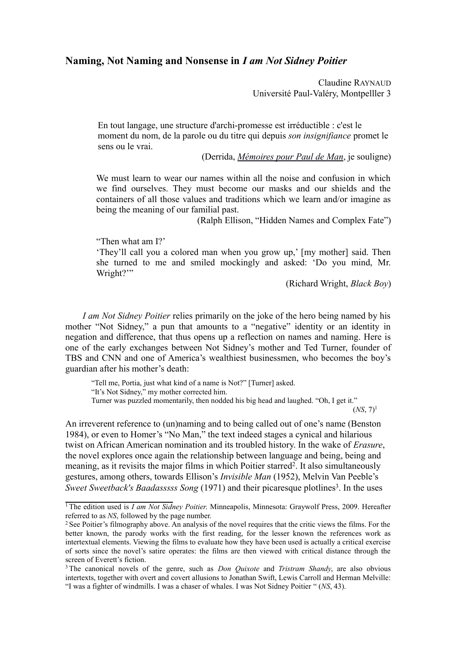# **Naming, Not Naming and Nonsense in** *I am Not Sidney Poitier*

Claudine RAYNAUD Université Paul-Valéry, Montpelller 3

En tout langage, une structure d'archi-promesse est irréductible : c'est le moment du nom, de la parole ou du titre qui depuis *son insignifiance* promet le sens ou le vrai.

(Derrida, *[Mémoires pour Paul de Man](http://www.idixa.net/Pixa/pagixa-0802210820.html)*, je souligne)

We must learn to wear our names within all the noise and confusion in which we find ourselves. They must become our masks and our shields and the containers of all those values and traditions which we learn and/or imagine as being the meaning of our familial past.

(Ralph Ellison, "Hidden Names and Complex Fate")

"Then what am I?'

'They'll call you a colored man when you grow up,' [my mother] said. Then she turned to me and smiled mockingly and asked: 'Do you mind, Mr. Wright?"

(Richard Wright, *Black Boy*)

*I am Not Sidney Poitier* relies primarily on the joke of the hero being named by his mother "Not Sidney," a pun that amounts to a "negative" identity or an identity in negation and difference, that thus opens up a reflection on names and naming. Here is one of the early exchanges between Not Sidney's mother and Ted Turner, founder of TBS and CNN and one of America's wealthiest businessmen, who becomes the boy's guardian after his mother's death:

"Tell me, Portia, just what kind of a name is Not?" [Turner] asked. "It's Not Sidney," my mother corrected him. Turner was puzzled momentarily, then nodded his big head and laughed. "Oh, I get it."

 $(NS, 7)^1$  $(NS, 7)^1$ 

An irreverent reference to (un)naming and to being called out of one's name (Benston 1984), or even to Homer's "No Man," the text indeed stages a cynical and hilarious twist on African American nomination and its troubled history. In the wake of *Erasure*, the novel explores once again the relationship between language and being, being and meaning, as it revisits the major films in which Poitier starred<sup>[2](#page-0-1)</sup>. It also simultaneously gestures, among others, towards Ellison's *Invisible Man* (1952), Melvin Van Peeble's Sweet Sweetback's Baadasssss Song (1971) and their picaresque plotlines<sup>[3](#page-0-2)</sup>. In the uses

<span id="page-0-0"></span><sup>&</sup>lt;sup>1</sup>The edition used is *I am Not Sidney Poitier*. Minneapolis, Minnesota: Graywolf Press, 2009. Hereafter referred to as *NS*, followed by the page number.

<span id="page-0-1"></span><sup>2</sup>See Poitier's filmography above. An analysis of the novel requires that the critic views the films. For the better known, the parody works with the first reading, for the lesser known the references work as intertextual elements. Viewing the films to evaluate how they have been used is actually a critical exercise of sorts since the novel's satire operates: the films are then viewed with critical distance through the screen of Everett's fiction.

<span id="page-0-2"></span><sup>3</sup>The canonical novels of the genre, such as *Don Quixote* and *Tristram Shandy*, are also obvious intertexts, together with overt and covert allusions to Jonathan Swift, Lewis Carroll and Herman Melville: "I was a fighter of windmills. I was a chaser of whales. I was Not Sidney Poitier " (*NS*, 43).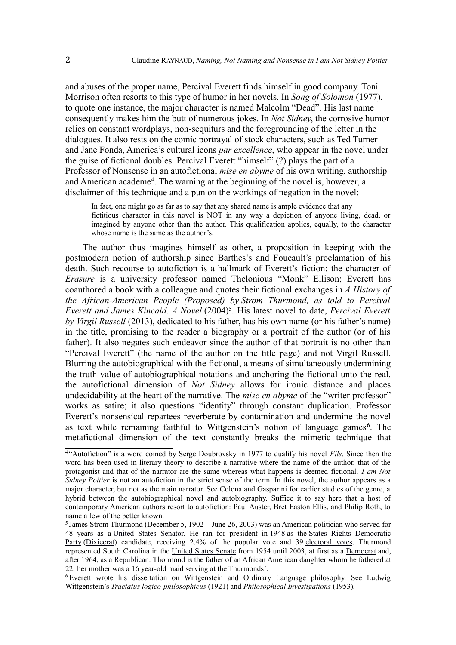and abuses of the proper name, Percival Everett finds himself in good company. Toni Morrison often resorts to this type of humor in her novels. In *Song of Solomon* (1977), to quote one instance, the major character is named Malcolm "Dead". His last name consequently makes him the butt of numerous jokes. In *Not Sidney*, the corrosive humor relies on constant wordplays, non-sequiturs and the foregrounding of the letter in the dialogues. It also rests on the comic portrayal of stock characters, such as Ted Turner and Jane Fonda, America's cultural icons *par excellence*, who appear in the novel under the guise of fictional doubles. Percival Everett "himself" (?) plays the part of a Professor of Nonsense in an autofictional *mise en abyme* of his own writing, authorship and American academe<sup>[4](#page-1-0)</sup>. The warning at the beginning of the novel is, however, a disclaimer of this technique and a pun on the workings of negation in the novel:

In fact, one might go as far as to say that any shared name is ample evidence that any fictitious character in this novel is NOT in any way a depiction of anyone living, dead, or imagined by anyone other than the author. This qualification applies, equally, to the character whose name is the same as the author's.

The author thus imagines himself as other, a proposition in keeping with the postmodern notion of authorship since Barthes's and Foucault's proclamation of his death. Such recourse to autofiction is a hallmark of Everett's fiction: the character of *Erasure* is a university professor named Thelonious "Monk" Ellison; Everett has coauthored a book with a colleague and quotes their fictional exchanges in *A History of the African-American People (Proposed) by Strom Thurmond, as told to Percival Everett and James Kincaid. A Novel* (2004)[5](#page-1-1) . His latest novel to date, *Percival Everett by Virgil Russell* (2013), dedicated to his father, has his own name (or his father's name) in the title, promising to the reader a biography or a portrait of the author (or of his father). It also negates such endeavor since the author of that portrait is no other than "Percival Everett" (the name of the author on the title page) and not Virgil Russell. Blurring the autobiographical with the fictional, a means of simultaneously undermining the truth-value of autobiographical notations and anchoring the fictional unto the real, the autofictional dimension of *Not Sidney* allows for ironic distance and places undecidability at the heart of the narrative. The *mise en abyme* of the "writer-professor" works as satire; it also questions "identity" through constant duplication. Professor Everett's nonsensical repartees reverberate by contamination and undermine the novel as text while remaining faithful to Wittgenstein's notion of language games<sup>[6](#page-1-2)</sup>. The metafictional dimension of the text constantly breaks the mimetic technique that

<span id="page-1-0"></span><sup>&</sup>lt;sup>4"</sup>Autofiction" is a word coined by Serge Doubrovsky in 1977 to qualify his novel *Fils*. Since then the word has been used in literary theory to describe a narrative where the name of the author, that of the protagonist and that of the narrator are the same whereas what happens is deemed fictional. *I am Not Sidney Poitier* is not an autofiction in the strict sense of the term. In this novel, the author appears as a major character, but not as the main narrator. See Colona and Gasparini for earlier studies of the genre, a hybrid between the autobiographical novel and autobiography. Suffice it to say here that a host of contemporary American authors resort to autofiction: Paul Auster, Bret Easton Ellis, and Philip Roth, to name a few of the better known.

<span id="page-1-1"></span><sup>5</sup>James Strom Thurmond (December 5, 1902 – June 26, 2003) was an American politician who served for 48 years as a [United States Senator.](http://en.wikipedia.org/wiki/United_States_Senate) He ran for president in [1948](http://en.wikipedia.org/wiki/United_States_presidential_election,_1948) as the [States Rights Democratic](http://en.wikipedia.org/wiki/Dixiecrat) [Party](http://en.wikipedia.org/wiki/Dixiecrat) [\(Dixiecrat\)](http://en.wikipedia.org/wiki/Dixiecrat) candidate, receiving 2.4% of the popular vote and 39 [electoral votes.](http://en.wikipedia.org/wiki/Electoral_College_(United_States)) Thurmond represented South Carolina in the [United States Senate](http://en.wikipedia.org/wiki/United_States_Senate) from 1954 until 2003, at first as a [Democrat](http://en.wikipedia.org/wiki/History_of_the_Democratic_Party_(United_States)) and, after 1964, as a [Republican.](http://en.wikipedia.org/wiki/History_of_the_Republican_Party_(United_States)) Thormond is the father of an African American daughter whom he fathered at 22; her mother was a 16 year-old maid serving at the Thurmonds'.

<span id="page-1-2"></span><sup>6</sup>Everett wrote his dissertation on Wittgenstein and Ordinary Language philosophy. See Ludwig Wittgenstein's *Tractatus logico-philosophicus* (1921) and *Philosophical Investigations* (1953)*.*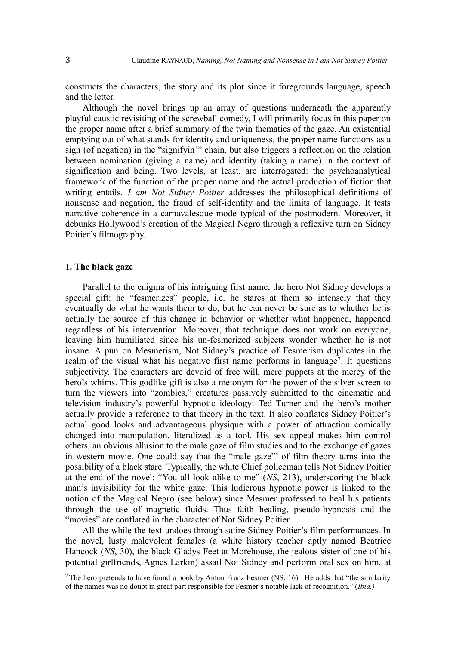constructs the characters, the story and its plot since it foregrounds language, speech and the letter.

Although the novel brings up an array of questions underneath the apparently playful caustic revisiting of the screwball comedy, I will primarily focus in this paper on the proper name after a brief summary of the twin thematics of the gaze. An existential emptying out of what stands for identity and uniqueness, the proper name functions as a sign (of negation) in the "signifyin'" chain, but also triggers a reflection on the relation between nomination (giving a name) and identity (taking a name) in the context of signification and being. Two levels, at least, are interrogated: the psychoanalytical framework of the function of the proper name and the actual production of fiction that writing entails. *I am Not Sidney Poitier* addresses the philosophical definitions of nonsense and negation, the fraud of self-identity and the limits of language. It tests narrative coherence in a carnavalesque mode typical of the postmodern. Moreover, it debunks Hollywood's creation of the Magical Negro through a reflexive turn on Sidney Poitier's filmography.

## **1. The black gaze**

Parallel to the enigma of his intriguing first name, the hero Not Sidney develops a special gift: he "fesmerizes" people, i.e. he stares at them so intensely that they eventually do what he wants them to do, but he can never be sure as to whether he is actually the source of this change in behavior or whether what happened, happened regardless of his intervention. Moreover, that technique does not work on everyone, leaving him humiliated since his un-fesmerized subjects wonder whether he is not insane. A pun on Mesmerism, Not Sidney's practice of Fesmerism duplicates in the realm of the visual what his negative first name performs in language<sup>[7](#page-2-0)</sup>. It questions subjectivity. The characters are devoid of free will, mere puppets at the mercy of the hero's whims. This godlike gift is also a metonym for the power of the silver screen to turn the viewers into "zombies," creatures passively submitted to the cinematic and television industry's powerful hypnotic ideology: Ted Turner and the hero's mother actually provide a reference to that theory in the text. It also conflates Sidney Poitier's actual good looks and advantageous physique with a power of attraction comically changed into manipulation, literalized as a tool. His sex appeal makes him control others, an obvious allusion to the male gaze of film studies and to the exchange of gazes in western movie. One could say that the "male gaze"' of film theory turns into the possibility of a black stare. Typically, the white Chief policeman tells Not Sidney Poitier at the end of the novel: "You all look alike to me" (*NS*, 213), underscoring the black man's invisibility for the white gaze. This ludicrous hypnotic power is linked to the notion of the Magical Negro (see below) since Mesmer professed to heal his patients through the use of magnetic fluids. Thus faith healing, pseudo-hypnosis and the "movies" are conflated in the character of Not Sidney Poitier.

All the while the text undoes through satire Sidney Poitier's film performances. In the novel, lusty malevolent females (a white history teacher aptly named Beatrice Hancock (*NS*, 30), the black Gladys Feet at Morehouse, the jealous sister of one of his potential girlfriends, Agnes Larkin) assail Not Sidney and perform oral sex on him, at

<span id="page-2-0"></span> $\frac{7}{7}$ The hero pretends to have found a book by Anton Franz Fesmer (NS, 16). He adds that "the similarity" of the names was no doubt in great part responsible for Fesmer's notable lack of recognition." (*Ibid.)*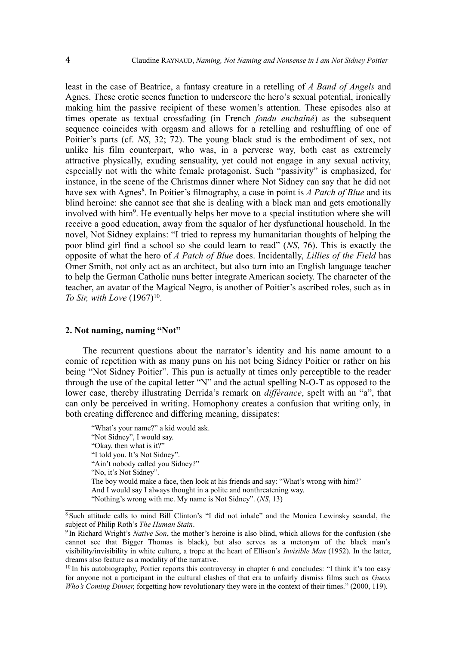least in the case of Beatrice, a fantasy creature in a retelling of *A Band of Angels* and Agnes. These erotic scenes function to underscore the hero's sexual potential, ironically making him the passive recipient of these women's attention. These episodes also at times operate as textual crossfading (in French *fondu enchaîné*) as the subsequent sequence coincides with orgasm and allows for a retelling and reshuffling of one of Poitier's parts (cf. *NS*, 32; 72). The young black stud is the embodiment of sex, not unlike his film counterpart, who was, in a perverse way, both cast as extremely attractive physically, exuding sensuality, yet could not engage in any sexual activity, especially not with the white female protagonist. Such "passivity" is emphasized, for instance, in the scene of the Christmas dinner where Not Sidney can say that he did not have sex with Agnes<sup>[8](#page-3-0)</sup>. In Poitier's filmography, a case in point is *A Patch of Blue* and its blind heroine: she cannot see that she is dealing with a black man and gets emotionally involved with him<sup>[9](#page-3-1)</sup>. He eventually helps her move to a special institution where she will receive a good education, away from the squalor of her dysfunctional household. In the novel, Not Sidney explains: "I tried to repress my humanitarian thoughts of helping the poor blind girl find a school so she could learn to read" (*NS*, 76). This is exactly the opposite of what the hero of *A Patch of Blue* does. Incidentally, *Lillies of the Field* has Omer Smith, not only act as an architect, but also turn into an English language teacher to help the German Catholic nuns better integrate American society. The character of the teacher, an avatar of the Magical Negro, is another of Poitier's ascribed roles, such as in *To Sir, with Love* (1967)<sup>[10](#page-3-2)</sup>.

#### **2. Not naming, naming "Not"**

The recurrent questions about the narrator's identity and his name amount to a comic of repetition with as many puns on his not being Sidney Poitier or rather on his being "Not Sidney Poitier". This pun is actually at times only perceptible to the reader through the use of the capital letter "N" and the actual spelling N-O-T as opposed to the lower case, thereby illustrating Derrida's remark on *différance*, spelt with an "a", that can only be perceived in writing. Homophony creates a confusion that writing only, in both creating difference and differing meaning, dissipates:

"What's your name?" a kid would ask. "Not Sidney", I would say. "Okay, then what is it?" "I told you. It's Not Sidney". "Ain't nobody called you Sidney?" "No, it's Not Sidney". The boy would make a face, then look at his friends and say: "What's wrong with him?' And I would say I always thought in a polite and nonthreatening way. "Nothing's wrong with me. My name is Not Sidney". (*NS*, 13)

<span id="page-3-0"></span> $8\$ Such attitude calls to mind Bill Clinton's "I did not inhale" and the Monica Lewinsky scandal, the subject of Philip Roth's *The Human Stain*.

<span id="page-3-1"></span><sup>9</sup>In Richard Wright's *Native Son*, the mother's heroine is also blind, which allows for the confusion (she cannot see that Bigger Thomas is black), but also serves as a metonym of the black man's visibility/invisibility in white culture, a trope at the heart of Ellison's *Invisible Man* (1952). In the latter, dreams also feature as a modality of the narrative.

<span id="page-3-2"></span><sup>&</sup>lt;sup>10</sup> In his autobiography, Poitier reports this controversy in chapter 6 and concludes: "I think it's too easy for anyone not a participant in the cultural clashes of that era to unfairly dismiss films such as *Guess Who's Coming Dinner*, forgetting how revolutionary they were in the context of their times." (2000, 119).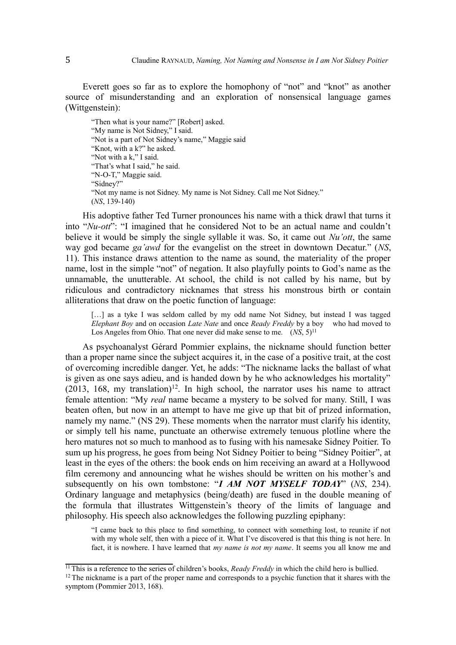Everett goes so far as to explore the homophony of "not" and "knot" as another source of misunderstanding and an exploration of nonsensical language games (Wittgenstein):

"Then what is your name?" [Robert] asked. "My name is Not Sidney," I said. "Not is a part of Not Sidney's name," Maggie said "Knot, with a k?" he asked. "Not with a k," I said. "That's what I said," he said. "N-O-T," Maggie said. "Sidney?" "Not my name is not Sidney. My name is Not Sidney. Call me Not Sidney." (*NS*, 139-140)

His adoptive father Ted Turner pronounces his name with a thick drawl that turns it into "*Nu-ott*": "I imagined that he considered Not to be an actual name and couldn't believe it would be simply the single syllable it was. So, it came out *Nu'ott*, the same way god became *ga'awd* for the evangelist on the street in downtown Decatur." (*NS*, 11). This instance draws attention to the name as sound, the materiality of the proper name, lost in the simple "not" of negation. It also playfully points to God's name as the unnamable, the unutterable. At school, the child is not called by his name, but by ridiculous and contradictory nicknames that stress his monstrous birth or contain alliterations that draw on the poetic function of language:

[...] as a tyke I was seldom called by my odd name Not Sidney, but instead I was tagged *Elephant Boy* and on occasion *Late Nate* and once *Ready Freddy* by a boy who had moved to Los Angeles from Ohio. That one never did make sense to me. (*NS*, 5)<sup>[11](#page-4-0)</sup>

As psychoanalyst Gérard Pommier explains, the nickname should function better than a proper name since the subject acquires it, in the case of a positive trait, at the cost of overcoming incredible danger. Yet, he adds: "The nickname lacks the ballast of what is given as one says adieu, and is handed down by he who acknowledges his mortality"  $(2013, 168, \text{my translation})^{12}$  $(2013, 168, \text{my translation})^{12}$  $(2013, 168, \text{my translation})^{12}$ . In high school, the narrator uses his name to attract female attention: "My *real* name became a mystery to be solved for many. Still, I was beaten often, but now in an attempt to have me give up that bit of prized information, namely my name." (NS 29). These moments when the narrator must clarify his identity, or simply tell his name, punctuate an otherwise extremely tenuous plotline where the hero matures not so much to manhood as to fusing with his namesake Sidney Poitier. To sum up his progress, he goes from being Not Sidney Poitier to being "Sidney Poitier", at least in the eyes of the others: the book ends on him receiving an award at a Hollywood film ceremony and announcing what he wishes should be written on his mother's and subsequently on his own tombstone: "*I AM NOT MYSELF TODAY*" (*NS*, 234). Ordinary language and metaphysics (being/death) are fused in the double meaning of the formula that illustrates Wittgenstein's theory of the limits of language and philosophy. His speech also acknowledges the following puzzling epiphany:

"I came back to this place to find something, to connect with something lost, to reunite if not with my whole self, then with a piece of it. What I've discovered is that this thing is not here. In fact, it is nowhere. I have learned that *my name is not my name*. It seems you all know me and

<span id="page-4-0"></span><sup>&</sup>lt;sup>11</sup>This is a reference to the series of children's books, *Ready Freddy* in which the child hero is bullied.

<span id="page-4-1"></span><sup>&</sup>lt;sup>12</sup>The nickname is a part of the proper name and corresponds to a psychic function that it shares with the symptom (Pommier 2013, 168).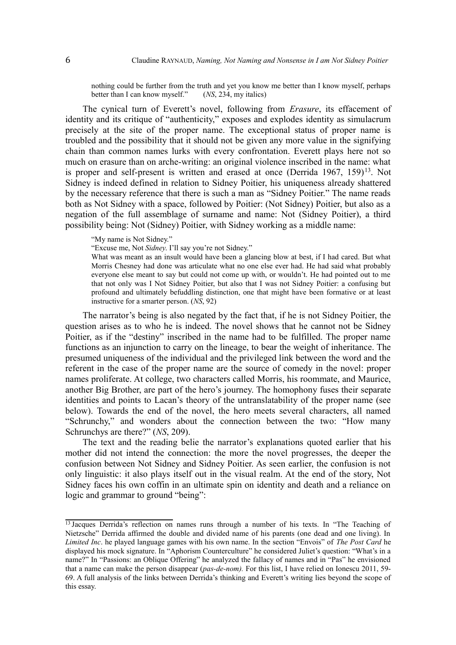nothing could be further from the truth and yet you know me better than I know myself, perhaps better than I can know myself." (*NS*, 234, my italics)

The cynical turn of Everett's novel, following from *Erasure*, its effacement of identity and its critique of "authenticity," exposes and explodes identity as simulacrum precisely at the site of the proper name. The exceptional status of proper name is troubled and the possibility that it should not be given any more value in the signifying chain than common names lurks with every confrontation. Everett plays here not so much on erasure than on arche-writing: an original violence inscribed in the name: what is proper and self-present is written and erased at once (Derrida 1967, 159)<sup>[13](#page-5-0)</sup>. Not Sidney is indeed defined in relation to Sidney Poitier, his uniqueness already shattered by the necessary reference that there is such a man as "Sidney Poitier." The name reads both as Not Sidney with a space, followed by Poitier: (Not Sidney) Poitier, but also as a negation of the full assemblage of surname and name: Not (Sidney Poitier), a third possibility being: Not (Sidney) Poitier, with Sidney working as a middle name:

"My name is Not Sidney."

"Excuse me, Not *Sidney*. I'll say you're not Sidney."

What was meant as an insult would have been a glancing blow at best, if I had cared. But what Morris Chesney had done was articulate what no one else ever had. He had said what probably everyone else meant to say but could not come up with, or wouldn't. He had pointed out to me that not only was I Not Sidney Poitier, but also that I was not Sidney Poitier: a confusing but profound and ultimately befuddling distinction, one that might have been formative or at least instructive for a smarter person. (*NS*, 92)

The narrator's being is also negated by the fact that, if he is not Sidney Poitier, the question arises as to who he is indeed. The novel shows that he cannot not be Sidney Poitier, as if the "destiny" inscribed in the name had to be fulfilled. The proper name functions as an injunction to carry on the lineage, to bear the weight of inheritance. The presumed uniqueness of the individual and the privileged link between the word and the referent in the case of the proper name are the source of comedy in the novel: proper names proliferate. At college, two characters called Morris, his roommate, and Maurice, another Big Brother, are part of the hero's journey. The homophony fuses their separate identities and points to Lacan's theory of the untranslatability of the proper name (see below). Towards the end of the novel, the hero meets several characters, all named "Schrunchy," and wonders about the connection between the two: "How many Schrunchys are there?" (*NS*, 209).

The text and the reading belie the narrator's explanations quoted earlier that his mother did not intend the connection: the more the novel progresses, the deeper the confusion between Not Sidney and Sidney Poitier. As seen earlier, the confusion is not only linguistic: it also plays itself out in the visual realm. At the end of the story, Not Sidney faces his own coffin in an ultimate spin on identity and death and a reliance on logic and grammar to ground "being":

<span id="page-5-0"></span><sup>&</sup>lt;sup>13</sup> Jacques Derrida's reflection on names runs through a number of his texts. In "The Teaching of Nietzsche" Derrida affirmed the double and divided name of his parents (one dead and one living). In *Limited Inc*. he played language games with his own name. In the section "Envois" of *The Post Card* he displayed his mock signature. In "Aphorism Counterculture" he considered Juliet's question: "What's in a name?" In "Passions: an Oblique Offering" he analyzed the fallacy of names and in "Pas" he envisioned that a name can make the person disappear (*pas-de-nom).* For this list, I have relied on Ionescu 2011, 59- 69. A full analysis of the links between Derrida's thinking and Everett's writing lies beyond the scope of this essay.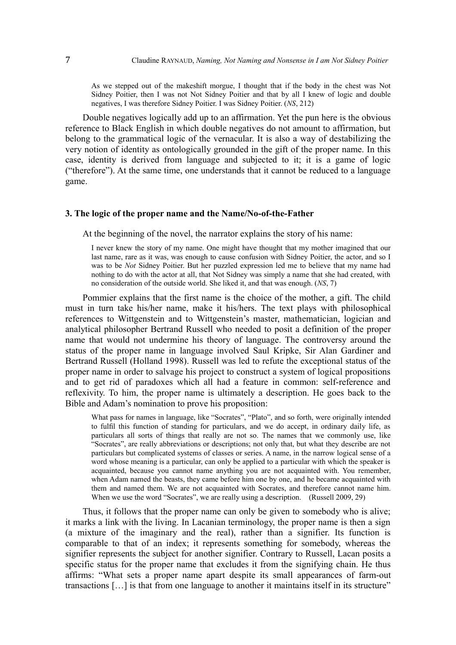As we stepped out of the makeshift morgue, I thought that if the body in the chest was Not Sidney Poitier, then I was not Not Sidney Poitier and that by all I knew of logic and double negatives, I was therefore Sidney Poitier. I was Sidney Poitier. (*NS*, 212)

Double negatives logically add up to an affirmation. Yet the pun here is the obvious reference to Black English in which double negatives do not amount to affirmation, but belong to the grammatical logic of the vernacular. It is also a way of destabilizing the very notion of identity as ontologically grounded in the gift of the proper name. In this case, identity is derived from language and subjected to it; it is a game of logic ("therefore"). At the same time, one understands that it cannot be reduced to a language game.

# **3. The logic of the proper name and the Name/No-of-the-Father**

At the beginning of the novel, the narrator explains the story of his name:

I never knew the story of my name. One might have thought that my mother imagined that our last name, rare as it was, was enough to cause confusion with Sidney Poitier, the actor, and so I was to be *Not* Sidney Poitier. But her puzzled expression led me to believe that my name had nothing to do with the actor at all, that Not Sidney was simply a name that she had created, with no consideration of the outside world. She liked it, and that was enough. (*NS*, 7)

Pommier explains that the first name is the choice of the mother, a gift. The child must in turn take his/her name, make it his/hers. The text plays with philosophical references to Wittgenstein and to Wittgenstein's master, mathematician, logician and analytical philosopher Bertrand Russell who needed to posit a definition of the proper name that would not undermine his theory of language. The controversy around the status of the proper name in language involved Saul Kripke, Sir Alan Gardiner and Bertrand Russell (Holland 1998). Russell was led to refute the exceptional status of the proper name in order to salvage his project to construct a system of logical propositions and to get rid of paradoxes which all had a feature in common: self-reference and reflexivity. To him, the proper name is ultimately a description. He goes back to the Bible and Adam's nomination to prove his proposition:

What pass for names in language, like "Socrates", "Plato", and so forth, were originally intended to fulfil this function of standing for particulars, and we do accept, in ordinary daily life, as particulars all sorts of things that really are not so. The names that we commonly use, like "Socrates", are really abbreviations or descriptions; not only that, but what they describe are not particulars but complicated systems of classes or series. A name, in the narrow logical sense of a word whose meaning is a particular, can only be applied to a particular with which the speaker is acquainted, because you cannot name anything you are not acquainted with. You remember, when Adam named the beasts, they came before him one by one, and he became acquainted with them and named them. We are not acquainted with Socrates, and therefore cannot name him. When we use the word "Socrates", we are really using a description. (Russell 2009, 29)

Thus, it follows that the proper name can only be given to somebody who is alive; it marks a link with the living. In Lacanian terminology, the proper name is then a sign (a mixture of the imaginary and the real), rather than a signifier. Its function is comparable to that of an index; it represents something for somebody, whereas the signifier represents the subject for another signifier. Contrary to Russell, Lacan posits a specific status for the proper name that excludes it from the signifying chain. He thus affirms: "What sets a proper name apart despite its small appearances of farm-out transactions […] is that from one language to another it maintains itself in its structure"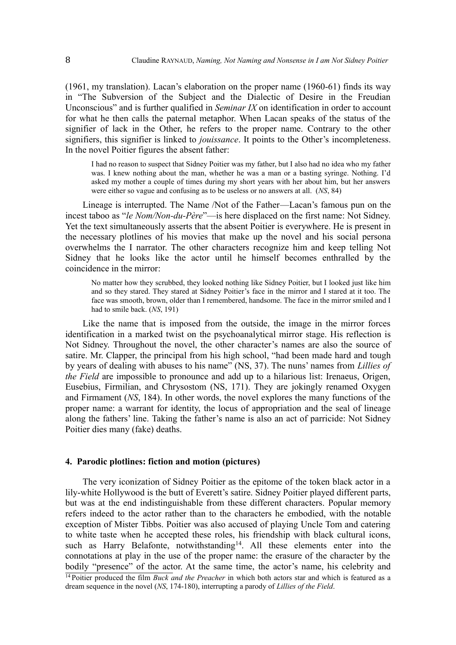(1961, my translation). Lacan's elaboration on the proper name (1960-61) finds its way in "The Subversion of the Subject and the Dialectic of Desire in the Freudian Unconscious" and is further qualified in *Seminar IX* on identification in order to account for what he then calls the paternal metaphor. When Lacan speaks of the status of the signifier of lack in the Other, he refers to the proper name. Contrary to the other signifiers, this signifier is linked to *jouissance*. It points to the Other's incompleteness. In the novel Poitier figures the absent father:

I had no reason to suspect that Sidney Poitier was my father, but I also had no idea who my father was. I knew nothing about the man, whether he was a man or a basting syringe. Nothing. I'd asked my mother a couple of times during my short years with her about him, but her answers were either so vague and confusing as to be useless or no answers at all. (*NS*, 84)

Lineage is interrupted. The Name /Not of the Father—Lacan's famous pun on the incest taboo as "*le Nom/Non-du-Père*"—is here displaced on the first name: Not Sidney. Yet the text simultaneously asserts that the absent Poitier is everywhere. He is present in the necessary plotlines of his movies that make up the novel and his social persona overwhelms the I narrator. The other characters recognize him and keep telling Not Sidney that he looks like the actor until he himself becomes enthralled by the coincidence in the mirror:

No matter how they scrubbed, they looked nothing like Sidney Poitier, but I looked just like him and so they stared. They stared at Sidney Poitier's face in the mirror and I stared at it too. The face was smooth, brown, older than I remembered, handsome. The face in the mirror smiled and I had to smile back. (*NS*, 191)

Like the name that is imposed from the outside, the image in the mirror forces identification in a marked twist on the psychoanalytical mirror stage. His reflection is Not Sidney. Throughout the novel, the other character's names are also the source of satire. Mr. Clapper, the principal from his high school, "had been made hard and tough by years of dealing with abuses to his name" (NS, 37). The nuns' names from *Lillies of the Field* are impossible to pronounce and add up to a hilarious list: Irenaeus, Origen, Eusebius, Firmilian, and Chrysostom (NS, 171). They are jokingly renamed Oxygen and Firmament (*NS*, 184). In other words, the novel explores the many functions of the proper name: a warrant for identity, the locus of appropriation and the seal of lineage along the fathers' line. Taking the father's name is also an act of parricide: Not Sidney Poitier dies many (fake) deaths.

#### **4. Parodic plotlines: fiction and motion (pictures)**

<span id="page-7-0"></span>The very iconization of Sidney Poitier as the epitome of the token black actor in a lily-white Hollywood is the butt of Everett's satire. Sidney Poitier played different parts, but was at the end indistinguishable from these different characters. Popular memory refers indeed to the actor rather than to the characters he embodied, with the notable exception of Mister Tibbs. Poitier was also accused of playing Uncle Tom and catering to white taste when he accepted these roles, his friendship with black cultural icons, such as Harry Belafonte, notwithstanding<sup>[14](#page-7-0)</sup>. All these elements enter into the connotations at play in the use of the proper name: the erasure of the character by the bodily "presence" of the actor. At the same time, the actor's name, his celebrity and <sup>14</sup> Poitier produced the film *Buck and the Preacher* in which both actors star and which is featured as a dream sequence in the novel (*NS*, 174-180), interrupting a parody of *Lillies of the Field*.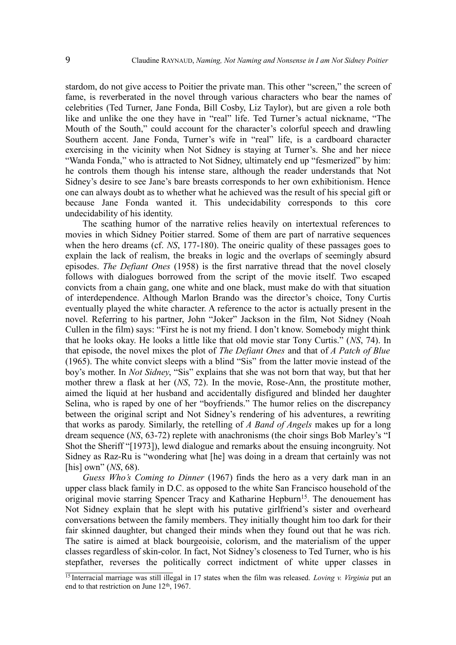stardom, do not give access to Poitier the private man. This other "screen," the screen of fame, is reverberated in the novel through various characters who bear the names of celebrities (Ted Turner, Jane Fonda, Bill Cosby, Liz Taylor), but are given a role both like and unlike the one they have in "real" life. Ted Turner's actual nickname, "The Mouth of the South," could account for the character's colorful speech and drawling Southern accent. Jane Fonda, Turner's wife in "real" life, is a cardboard character exercising in the vicinity when Not Sidney is staying at Turner's. She and her niece "Wanda Fonda," who is attracted to Not Sidney, ultimately end up "fesmerized" by him: he controls them though his intense stare, although the reader understands that Not Sidney's desire to see Jane's bare breasts corresponds to her own exhibitionism. Hence one can always doubt as to whether what he achieved was the result of his special gift or because Jane Fonda wanted it. This undecidability corresponds to this core undecidability of his identity.

The scathing humor of the narrative relies heavily on intertextual references to movies in which Sidney Poitier starred. Some of them are part of narrative sequences when the hero dreams (cf. *NS*, 177-180). The oneiric quality of these passages goes to explain the lack of realism, the breaks in logic and the overlaps of seemingly absurd episodes. *The Defiant Ones* (1958) is the first narrative thread that the novel closely follows with dialogues borrowed from the script of the movie itself. Two escaped convicts from a chain gang, one white and one black, must make do with that situation of interdependence. Although Marlon Brando was the director's choice, Tony Curtis eventually played the white character. A reference to the actor is actually present in the novel. Referring to his partner, John "Joker" Jackson in the film, Not Sidney (Noah Cullen in the film) says: "First he is not my friend. I don't know. Somebody might think that he looks okay. He looks a little like that old movie star Tony Curtis." (*NS*, 74). In that episode, the novel mixes the plot of *The Defiant Ones* and that of *A Patch of Blue* (1965). The white convict sleeps with a blind "Sis" from the latter movie instead of the boy's mother. In *Not Sidney*, "Sis" explains that she was not born that way, but that her mother threw a flask at her (*NS*, 72). In the movie, Rose-Ann, the prostitute mother, aimed the liquid at her husband and accidentally disfigured and blinded her daughter Selina, who is raped by one of her "boyfriends." The humor relies on the discrepancy between the original script and Not Sidney's rendering of his adventures, a rewriting that works as parody. Similarly, the retelling of *A Band of Angels* makes up for a long dream sequence (*NS*, 63-72) replete with anachronisms (the choir sings Bob Marley's "I Shot the Sheriff "[1973]), lewd dialogue and remarks about the ensuing incongruity. Not Sidney as Raz-Ru is "wondering what [he] was doing in a dream that certainly was not [his] own" (*NS*, 68).

*Guess Who's Coming to Dinner* (1967) finds the hero as a very dark man in an upper class black family in D.C. as opposed to the white San Francisco household of the original movie starring Spencer Tracy and Katharine Hepburn<sup>[15](#page-8-0)</sup>. The denouement has Not Sidney explain that he slept with his putative girlfriend's sister and overheard conversations between the family members. They initially thought him too dark for their fair skinned daughter, but changed their minds when they found out that he was rich. The satire is aimed at black bourgeoisie, colorism, and the materialism of the upper classes regardless of skin-color. In fact, Not Sidney's closeness to Ted Turner, who is his stepfather, reverses the politically correct indictment of white upper classes in

<span id="page-8-0"></span><sup>&</sup>lt;sup>15</sup>Interracial marriage was still illegal in 17 states when the film was released. *Loving v. Virginia* put an end to that restriction on June  $12<sup>th</sup>$ , 1967.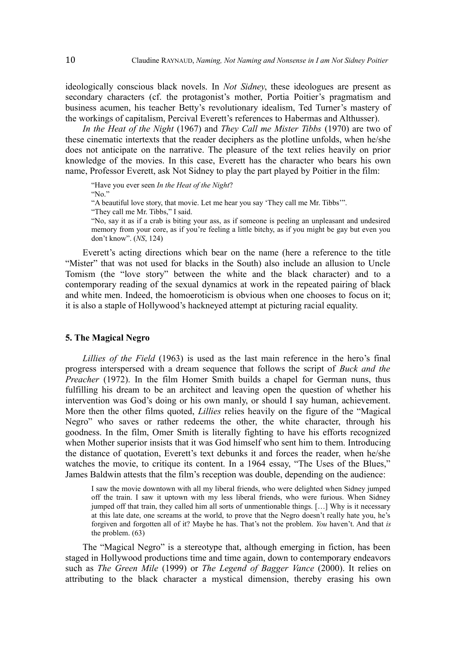ideologically conscious black novels. In *Not Sidney*, these ideologues are present as secondary characters (cf. the protagonist's mother, Portia Poitier's pragmatism and business acumen, his teacher Betty's revolutionary idealism, Ted Turner's mastery of the workings of capitalism, Percival Everett's references to Habermas and Althusser).

*In the Heat of the Night* (1967) and *They Call me Mister Tibbs* (1970) are two of these cinematic intertexts that the reader deciphers as the plotline unfolds, when he/she does not anticipate on the narrative. The pleasure of the text relies heavily on prior knowledge of the movies. In this case, Everett has the character who bears his own name, Professor Everett, ask Not Sidney to play the part played by Poitier in the film:

"Have you ever seen *In the Heat of the Night*? "No."

"A beautiful love story, that movie. Let me hear you say 'They call me Mr. Tibbs'".

"They call me Mr. Tibbs," I said.

"No, say it as if a crab is biting your ass, as if someone is peeling an unpleasant and undesired memory from your core, as if you're feeling a little bitchy, as if you might be gay but even you don't know". (*NS*, 124)

Everett's acting directions which bear on the name (here a reference to the title "Mister" that was not used for blacks in the South) also include an allusion to Uncle Tomism (the "love story" between the white and the black character) and to a contemporary reading of the sexual dynamics at work in the repeated pairing of black and white men. Indeed, the homoeroticism is obvious when one chooses to focus on it; it is also a staple of Hollywood's hackneyed attempt at picturing racial equality.

#### **5. The Magical Negro**

*Lillies of the Field* (1963) is used as the last main reference in the hero's final progress interspersed with a dream sequence that follows the script of *Buck and the Preacher* (1972). In the film Homer Smith builds a chapel for German nuns, thus fulfilling his dream to be an architect and leaving open the question of whether his intervention was God's doing or his own manly, or should I say human, achievement. More then the other films quoted, *Lillies* relies heavily on the figure of the "Magical Negro" who saves or rather redeems the other, the white character, through his goodness. In the film, Omer Smith is literally fighting to have his efforts recognized when Mother superior insists that it was God himself who sent him to them. Introducing the distance of quotation, Everett's text debunks it and forces the reader, when he/she watches the movie, to critique its content. In a 1964 essay, "The Uses of the Blues," James Baldwin attests that the film's reception was double, depending on the audience:

I saw the movie downtown with all my liberal friends, who were delighted when Sidney jumped off the train. I saw it uptown with my less liberal friends, who were furious. When Sidney jumped off that train, they called him all sorts of unmentionable things. […] Why is it necessary at this late date, one screams at the world, to prove that the Negro doesn't really hate you, he's forgiven and forgotten all of it? Maybe he has. That's not the problem. *You* haven't. And that *is* the problem. (63)

The "Magical Negro" is a stereotype that, although emerging in fiction, has been staged in Hollywood productions time and time again, down to contemporary endeavors such as *The Green Mile* (1999) or *The Legend of Bagger Vance* (2000). It relies on attributing to the black character a mystical dimension, thereby erasing his own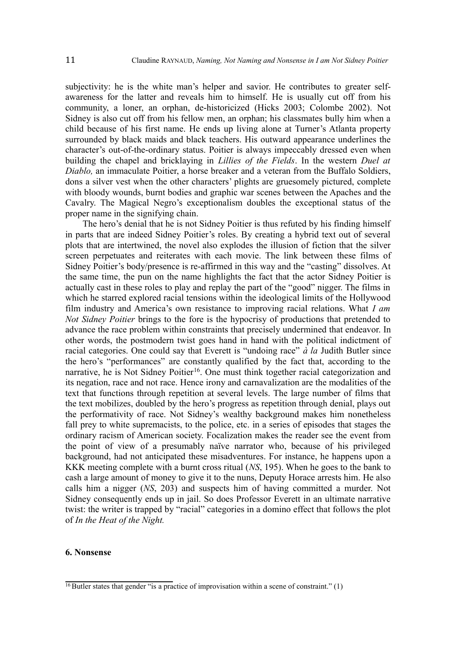subjectivity: he is the white man's helper and savior. He contributes to greater selfawareness for the latter and reveals him to himself. He is usually cut off from his community, a loner, an orphan, de-historicized (Hicks 2003; Colombe 2002). Not Sidney is also cut off from his fellow men, an orphan; his classmates bully him when a child because of his first name. He ends up living alone at Turner's Atlanta property surrounded by black maids and black teachers. His outward appearance underlines the character's out-of-the-ordinary status. Poitier is always impeccably dressed even when building the chapel and bricklaying in *Lillies of the Fields*. In the western *Duel at Diablo,* an immaculate Poitier, a horse breaker and a veteran from the Buffalo Soldiers, dons a silver vest when the other characters' plights are gruesomely pictured, complete with bloody wounds, burnt bodies and graphic war scenes between the Apaches and the Cavalry. The Magical Negro's exceptionalism doubles the exceptional status of the proper name in the signifying chain.

The hero's denial that he is not Sidney Poitier is thus refuted by his finding himself in parts that are indeed Sidney Poitier's roles. By creating a hybrid text out of several plots that are intertwined, the novel also explodes the illusion of fiction that the silver screen perpetuates and reiterates with each movie. The link between these films of Sidney Poitier's body/presence is re-affirmed in this way and the "casting" dissolves. At the same time, the pun on the name highlights the fact that the actor Sidney Poitier is actually cast in these roles to play and replay the part of the "good" nigger. The films in which he starred explored racial tensions within the ideological limits of the Hollywood film industry and America's own resistance to improving racial relations. What *I am Not Sidney Poitier* brings to the fore is the hypocrisy of productions that pretended to advance the race problem within constraints that precisely undermined that endeavor. In other words, the postmodern twist goes hand in hand with the political indictment of racial categories. One could say that Everett is "undoing race" *à la* Judith Butler since the hero's "performances" are constantly qualified by the fact that, according to the narrative, he is Not Sidney Poitier<sup>[16](#page-10-0)</sup>. One must think together racial categorization and its negation, race and not race. Hence irony and carnavalization are the modalities of the text that functions through repetition at several levels. The large number of films that the text mobilizes, doubled by the hero's progress as repetition through denial, plays out the performativity of race. Not Sidney's wealthy background makes him nonetheless fall prey to white supremacists, to the police, etc. in a series of episodes that stages the ordinary racism of American society. Focalization makes the reader see the event from the point of view of a presumably naïve narrator who, because of his privileged background, had not anticipated these misadventures. For instance, he happens upon a KKK meeting complete with a burnt cross ritual (*NS*, 195). When he goes to the bank to cash a large amount of money to give it to the nuns, Deputy Horace arrests him. He also calls him a nigger (*NS*, 203) and suspects him of having committed a murder. Not Sidney consequently ends up in jail. So does Professor Everett in an ultimate narrative twist: the writer is trapped by "racial" categories in a domino effect that follows the plot of *In the Heat of the Night.*

## **6. Nonsense**

<span id="page-10-0"></span> $\frac{16}{16}$  Butler states that gender "is a practice of improvisation within a scene of constraint." (1)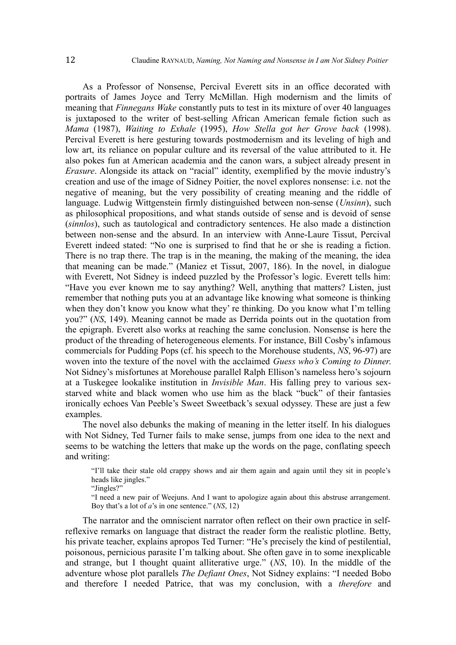As a Professor of Nonsense, Percival Everett sits in an office decorated with portraits of James Joyce and Terry McMillan. High modernism and the limits of meaning that *Finnegans Wake* constantly puts to test in its mixture of over 40 languages is juxtaposed to the writer of best-selling African American female fiction such as *Mama* (1987), *Waiting to Exhale* (1995), *How Stella got her Grove back* (1998). Percival Everett is here gesturing towards postmodernism and its leveling of high and low art, its reliance on popular culture and its reversal of the value attributed to it. He also pokes fun at American academia and the canon wars, a subject already present in *Erasure*. Alongside its attack on "racial" identity, exemplified by the movie industry's creation and use of the image of Sidney Poitier, the novel explores nonsense: i.e. not the negative of meaning, but the very possibility of creating meaning and the riddle of language. Ludwig Wittgenstein firmly distinguished between non-sense (*Unsinn*), such as philosophical propositions, and what stands outside of sense and is devoid of sense (*sinnlos*), such as tautological and contradictory sentences. He also made a distinction between non-sense and the absurd. In an interview with Anne-Laure Tissut, Percival Everett indeed stated: "No one is surprised to find that he or she is reading a fiction. There is no trap there. The trap is in the meaning, the making of the meaning, the idea that meaning can be made." (Maniez et Tissut, 2007, 186). In the novel, in dialogue with Everett, Not Sidney is indeed puzzled by the Professor's logic. Everett tells him: "Have you ever known me to say anything? Well, anything that matters? Listen, just remember that nothing puts you at an advantage like knowing what someone is thinking when they don't know you know what they' re thinking. Do you know what I'm telling you?" (*NS*, 149). Meaning cannot be made as Derrida points out in the quotation from the epigraph. Everett also works at reaching the same conclusion. Nonsense is here the product of the threading of heterogeneous elements. For instance, Bill Cosby's infamous commercials for Pudding Pops (cf. his speech to the Morehouse students, *NS*, 96-97) are woven into the texture of the novel with the acclaimed *Guess who's Coming to Dinner*. Not Sidney's misfortunes at Morehouse parallel Ralph Ellison's nameless hero's sojourn at a Tuskegee lookalike institution in *Invisible Man*. His falling prey to various sexstarved white and black women who use him as the black "buck" of their fantasies ironically echoes Van Peeble's Sweet Sweetback's sexual odyssey. These are just a few examples.

The novel also debunks the making of meaning in the letter itself. In his dialogues with Not Sidney, Ted Turner fails to make sense, jumps from one idea to the next and seems to be watching the letters that make up the words on the page, conflating speech and writing:

"I'll take their stale old crappy shows and air them again and again until they sit in people's heads like jingles."

"Jingles?"

"I need a new pair of Weejuns. And I want to apologize again about this abstruse arrangement. Boy that's a lot of *a*'s in one sentence." (*NS*, 12)

The narrator and the omniscient narrator often reflect on their own practice in selfreflexive remarks on language that distract the reader form the realistic plotline. Betty, his private teacher, explains apropos Ted Turner: "He's precisely the kind of pestilential, poisonous, pernicious parasite I'm talking about. She often gave in to some inexplicable and strange, but I thought quaint alliterative urge." (*NS*, 10). In the middle of the adventure whose plot parallels *The Defiant Ones*, Not Sidney explains: "I needed Bobo and therefore I needed Patrice, that was my conclusion, with a *therefore* and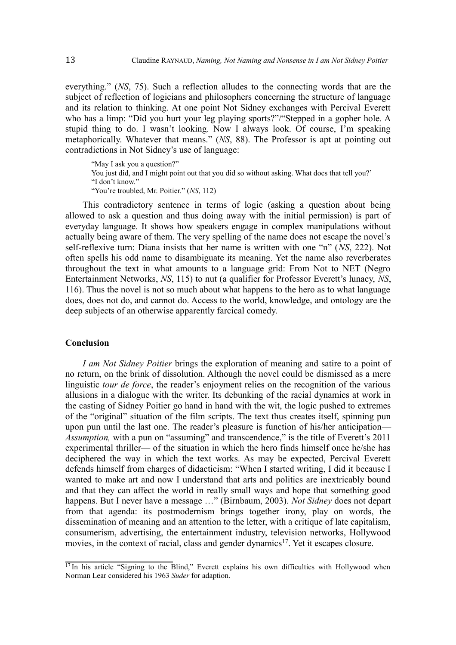everything." (*NS*, 75). Such a reflection alludes to the connecting words that are the subject of reflection of logicians and philosophers concerning the structure of language and its relation to thinking. At one point Not Sidney exchanges with Percival Everett who has a limp: "Did you hurt your leg playing sports?"/"Stepped in a gopher hole. A stupid thing to do. I wasn't looking. Now I always look. Of course, I'm speaking metaphorically. Whatever that means." (*NS*, 88). The Professor is apt at pointing out contradictions in Not Sidney's use of language:

"May I ask you a question?" You just did, and I might point out that you did so without asking. What does that tell you?' "I don't know." "You're troubled, Mr. Poitier." (*NS*, 112)

This contradictory sentence in terms of logic (asking a question about being allowed to ask a question and thus doing away with the initial permission) is part of everyday language. It shows how speakers engage in complex manipulations without actually being aware of them. The very spelling of the name does not escape the novel's self-reflexive turn: Diana insists that her name is written with one "n" (*NS*, 222). Not often spells his odd name to disambiguate its meaning. Yet the name also reverberates throughout the text in what amounts to a language grid: From Not to NET (Negro Entertainment Networks, *NS*, 115) to nut (a qualifier for Professor Everett's lunacy, *NS*, 116). Thus the novel is not so much about what happens to the hero as to what language does, does not do, and cannot do. Access to the world, knowledge, and ontology are the deep subjects of an otherwise apparently farcical comedy.

# **Conclusion**

*I am Not Sidney Poitier* brings the exploration of meaning and satire to a point of no return, on the brink of dissolution. Although the novel could be dismissed as a mere linguistic *tour de force*, the reader's enjoyment relies on the recognition of the various allusions in a dialogue with the writer. Its debunking of the racial dynamics at work in the casting of Sidney Poitier go hand in hand with the wit, the logic pushed to extremes of the "original" situation of the film scripts. The text thus creates itself, spinning pun upon pun until the last one. The reader's pleasure is function of his/her anticipation— *Assumption, with a pun on "assuming" and transcendence," is the title of Everett's 2011* experimental thriller— of the situation in which the hero finds himself once he/she has deciphered the way in which the text works. As may be expected, Percival Everett defends himself from charges of didacticism: "When I started writing, I did it because I wanted to make art and now I understand that arts and politics are inextricably bound and that they can affect the world in really small ways and hope that something good happens. But I never have a message …" (Birnbaum, 2003). *Not Sidney* does not depart from that agenda: its postmodernism brings together irony, play on words, the dissemination of meaning and an attention to the letter, with a critique of late capitalism, consumerism, advertising, the entertainment industry, television networks, Hollywood movies, in the context of racial, class and gender dynamics<sup>[17](#page-12-0)</sup>. Yet it escapes closure.

<span id="page-12-0"></span> $\frac{17}{17}$ In his article "Signing to the Blind," Everett explains his own difficulties with Hollywood when Norman Lear considered his 1963 *Suder* for adaption.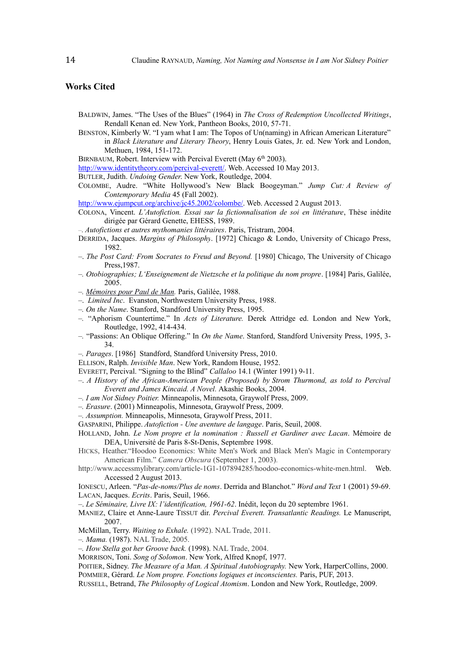## **Works Cited**

- BALDWIN, James. "The Uses of the Blues" (1964) in *The Cross of Redemption Uncollected Writings*, Rendall Kenan ed. New York, Pantheon Books, 2010, 57-71.
- BENSTON, Kimberly W. "I yam what I am: The Topos of Un(naming) in African American Literature" in *Black Literature and Literary Theory*, Henry Louis Gates, Jr. ed. New York and London, Methuen, 1984, 151-172.
- BIRNBAUM, Robert. Interview with Percival Everett (May 6<sup>th</sup> 2003).

[http://www.identitytheory.com/percival-everett/.](http://www.identitytheory.com/percival-everett/) Web. Accessed 10 May 2013.

- BUTLER, Judith. *Undoing Gender*. New York, Routledge, 2004.
- COLOMBE, Audre. "White Hollywood's New Black Boogeyman." *Jump Cut: A Review of Contemporary Media* 45 (Fall 2002).

[http://www.ejumpcut.org/archive/jc45.2002/colombe/.](http://www.ejumpcut.org/archive/jc45.2002/colombe/) Web. Accessed 2 August 2013.

COLONA, Vincent. *L'Autofiction. Essai sur la fictionnalisation de soi en littérature*, Thèse inédite dirigée par Gérard Genette, EHESS, 1989.

*–. Autofictions et autres mythomanies littéraires*. Paris, Tristram, 2004.

- DERRIDA, Jacques. *Margins of Philosophy*. [1972] Chicago & Londo, University of Chicago Press, 1982.
- –. *The Post Card: From Socrates to Freud and Beyond.* [1980] Chicago, The University of Chicago Press,1987.
- *–. Otobiographies; L'Enseignement de Nietzsche et la politique du nom propre*. [1984] Paris, Galilée, 2005.
- *–. [Mémoires pour Paul de Man.](http://www.idixa.net/Pixa/pagixa-0802210820.html)* Paris, Galilée, 1988.
- –. *Limited Inc*. Evanston, Northwestern University Press, 1988.
- *–. On the Name*. Stanford, Standford University Press, 1995.
- *–.* "Aphorism Countertime." In *Acts of Literature.* Derek Attridge ed. London and New York, Routledge, 1992, 414-434.
- *–.* "Passions: An Oblique Offering." In *On the Name*. Stanford, Standford University Press, 1995, 3- 34.
- *–. Parages*. [1986] Standford, Standford University Press, 2010.

ELLISON, Ralph. *Invisible Man*. New York, Random House, 1952.

- EVERETT, Percival. "Signing to the Blind" *Callaloo* 14.1 (Winter 1991) 9-11.
- –. *A History of the African-American People (Proposed) by Strom Thurmond, as told to Percival Everett and James Kincaid. A Novel.* Akashic Books, 2004.
- *–. I am Not Sidney Poitier.* Minneapolis, Minnesota, Graywolf Press, 2009.
- *–. Erasure*. (2001) Minneapolis, Minnesota, Graywolf Press, 2009.
- *–. Assumption.* Minneapolis, Minnesota, Graywolf Press, 2011.
- GASPARINI, Philippe. *Autofiction Une aventure de langage*. Paris, Seuil, 2008.
- HOLLAND, John. *Le Nom propre et la nomination : Russell et Gardiner avec Lacan*. Mémoire de DEA, Université de Paris 8-St-Denis, Septembre 1998.
- HICKS, Heather."Hoodoo Economics: White Men's Work and Black Men's Magic in Contemporary American Film." *Camera Obscura* (September 1, 2003).
- http://www.accessmylibrary.com/article-1G1-107894285/hoodoo-economics-white-men.html. Web. Accessed 2 August 2013.
- IONESCU, Arleen. "*Pas-de-noms/Plus de noms*. Derrida and Blanchot." *Word and Text* 1 (2001) 59-69. LACAN, Jacques. *Ecrits*. Paris, Seuil, 1966.
- –. *Le Séminaire, Livre IX: l'identification, 1961-62*. Inédit, leçon du 20 septembre 1961.
- MANIEZ, Claire et Anne-Laure TISSUT dir. *Percival Everett. Transatlantic Readings.* Le Manuscript, 2007.
- McMillan, Terry. *Waiting to Exhale.* (1992). NAL Trade, 2011.
- *–. Mama.* (1987). NAL Trade, 2005.
- *–. How Stella got her Groove back.* (1998). NAL Trade, 2004.
- MORRISON, Toni. *Song of Solomon*. New York, Alfred Knopf, 1977.
- POITIER, Sidney. *The Measure of a Man. A Spiritual Autobiography.* New York, HarperCollins, 2000.
- POMMIER, Gérard. *Le Nom propre. Fonctions logiques et inconscientes.* Paris, PUF, 2013.
- RUSSELL, Betrand, *The Philosophy of Logical Atomism*. London and New York, Routledge, 2009.